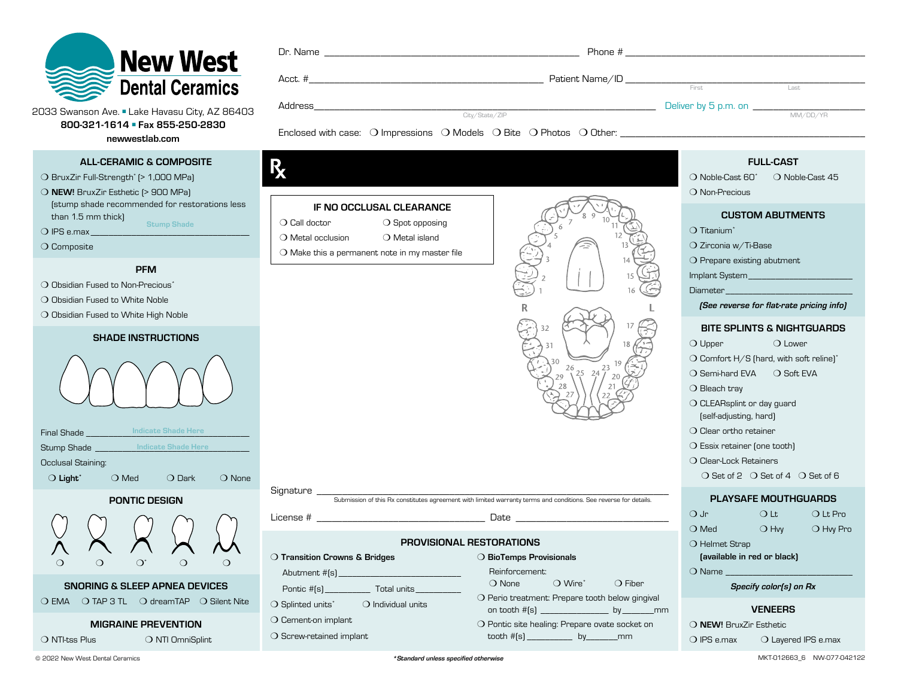

|      |   | $\text{Acct.}~\#$                                                                                    | Patient Name/ID Commission and the contract of the contract of the contract of the contract of the contract of the contract of the contract of the contract of the contract of the contract of the contract of the contract of |                                              |
|------|---|------------------------------------------------------------------------------------------------------|--------------------------------------------------------------------------------------------------------------------------------------------------------------------------------------------------------------------------------|----------------------------------------------|
|      |   |                                                                                                      | First                                                                                                                                                                                                                          | Last                                         |
| i403 |   |                                                                                                      |                                                                                                                                                                                                                                |                                              |
|      |   | City/State/ZIP                                                                                       |                                                                                                                                                                                                                                | MM/DD/YR                                     |
|      |   | Enclosed with case: O Impressions O Models O Bite O Photos O Other: ________________________________ |                                                                                                                                                                                                                                |                                              |
|      |   |                                                                                                      |                                                                                                                                                                                                                                |                                              |
|      |   |                                                                                                      |                                                                                                                                                                                                                                |                                              |
|      |   |                                                                                                      |                                                                                                                                                                                                                                | <b>FULL-CAST</b>                             |
|      | 灬 |                                                                                                      |                                                                                                                                                                                                                                | O Noble-Cast 60 <sup>*</sup> O Noble-Cast 45 |
|      |   |                                                                                                      | ______                                                                                                                                                                                                                         |                                              |

2033 Swanson Ave. ■ Lake Havasu City, AZ 864 800-321-1614 ■ Fax 855-250-2830

newwestlab.com

# ALL-CERAMIC & COMPOSITE

❍ BruxZir Full-Strength\* (> 1,000 MPa)

❍ NEW! BruxZir Esthetic (> 900 MPa) (stump shade recommended for restorations less than 1.5 mm thick) Stump Shade

 $\bigcirc$  IPS e.max

❍ Composite

#### PFM

- ◯ Obsidian Fused to Non-Precious<sup>\*</sup>
- ❍ Obsidian Fused to White Noble
- ❍ Obsidian Fused to White High Noble

#### SHADE INSTRUCTIONS



| <b>Final Shade</b>            | <b>Indicate Shade Here</b> |                |                 |
|-------------------------------|----------------------------|----------------|-----------------|
| <b>Stump Shade</b>            | <b>Indicate Shade Here</b> |                |                 |
| Occlusal Staining:            |                            |                |                 |
| $\bigcirc$ Light <sup>*</sup> | $\bigcirc$ Med             | $\bigcap$ Dark | $\bigcirc$ None |
|                               |                            |                |                 |

PONTIC DESIGN



❍ EMA ❍ TAP 3 TL ❍ dreamTAP ❍ Silent Nite

# MIGRAINE PREVENTION

❍ NTI-tss Plus ❍ NTI OmniSplint

|  | $\bigcirc$ Call doctor                                  | $\bigcirc$ Spot opposing |  |  |  |
|--|---------------------------------------------------------|--------------------------|--|--|--|
|  | $\bigcirc$ Metal occlusion                              | $\bigcirc$ Metal island  |  |  |  |
|  | $\bigcirc$ Make this a permanent note in my master file |                          |  |  |  |
|  |                                                         |                          |  |  |  |
|  |                                                         |                          |  |  |  |
|  |                                                         |                          |  |  |  |
|  |                                                         |                          |  |  |  |
|  |                                                         |                          |  |  |  |

IF NO OCCLUSAL CLEARANCE

License #  $\Box$ 

❍ Transition Crowns & Bridges

Pontic #(s) \_\_\_\_\_\_\_\_\_\_ Total units\_\_\_\_\_\_\_\_\_\_ ❍ Splinted units\* ❍ Individual units

Abutment  $#[s]$ 

❍ Cement-on implant O Screw-retained implant



❍ Non-Precious

### CUSTOM ABUTMENTS

❍ Titanium\*

❍ Zirconia w/Ti-Base

❍ Prepare existing abutment

Implant System\_\_\_\_\_\_\_\_\_\_\_\_\_\_\_\_\_\_\_\_\_\_\_

Diameter

*(See reverse for flat-rate pricing info)*

# BITE SPLINTS & NIGHTGUARDS

❍ Upper ❍ Lower ❍ Comfort H/S (hard, with soft reline)\* ❍ Semi-hard EVA ❍ Soft EVA

O Bleach tray

❍ CLEARsplint or day guard (self-adjusting, hard)

❍ Clear ortho retainer

❍ Essix retainer (one tooth)

❍ Clear-Lock Retainers

❍ Set of 2 ❍ Set of 4 ❍ Set of 6

# PLAYSAFE MOUTHGUARDS

| $\bigcirc$ Jr  | ∩ Lt          | $\bigcirc$ Lt Pro |
|----------------|---------------|-------------------|
| $\bigcirc$ Med | $\bigcirc$ Hw | $\bigcirc$ Hw Pro |
| O Helmet Strap |               |                   |

(available in red or black)

❍ Name \_\_\_\_\_\_\_\_\_\_\_\_\_\_\_\_\_\_\_\_\_\_\_\_\_\_\_\_

*Specify color(s) on Rx*

# VENEERS

❍ NEW! BruxZir Esthetic

O IPS e.max O Layered IPS e.max

Signature \_\_\_\_\_\_\_\_\_\_\_\_\_\_\_\_\_\_\_\_\_\_\_\_\_\_\_\_\_\_\_\_\_\_\_\_\_\_\_\_\_\_\_\_\_\_\_\_\_\_\_\_\_\_\_\_\_\_\_\_\_\_\_\_\_\_\_\_\_ Submission of this Rx constitutes agreement with limited warranty terms and conditions. See reverse for details.

PROVISIONAL RESTORATIONS

❍ BioTemps Provisionals Reinforcement:

O None  $\bigcirc$  Wire<sup>\*</sup>  $\bigcirc$  Fiber ❍ Perio treatment: Prepare tooth below gingival on tooth #(s) \_\_\_\_\_\_\_\_\_\_\_\_\_\_\_ by \_\_\_\_\_\_\_mm ❍ Pontic site healing: Prepare ovate socket on tooth #(s) \_\_\_\_\_\_\_\_\_\_ by\_\_\_\_\_\_\_mm